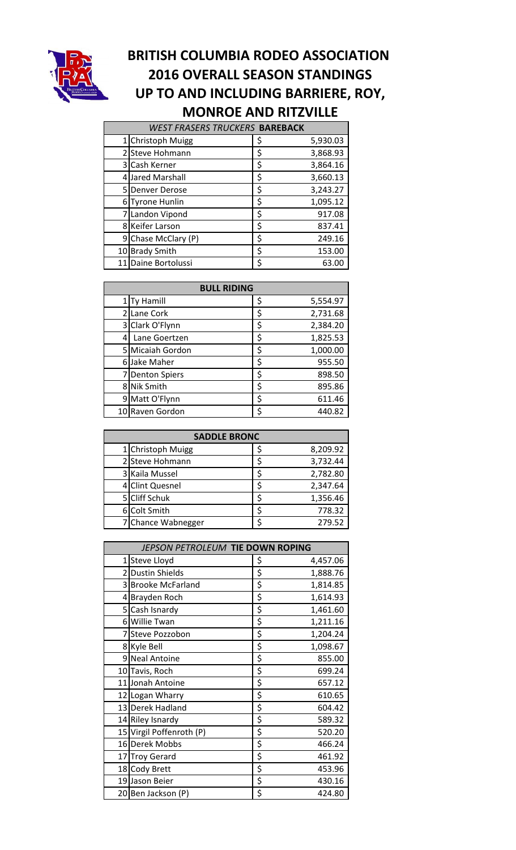

## **BRITISH COLUMBIA RODEO ASSOCIATION 2016 OVERALL SEASON STANDINGS UP TO AND INCLUDING BARRIERE, ROY, MONROE AND RITZVILLE**

|                 | <b>WEST FRASERS TRUCKERS BAREBACK</b> |    |          |  |  |
|-----------------|---------------------------------------|----|----------|--|--|
|                 | 1 Christoph Muigg                     | Ş  | 5,930.03 |  |  |
|                 | 2 Steve Hohmann                       | \$ | 3,868.93 |  |  |
|                 | 3 Cash Kerner                         | \$ | 3,864.16 |  |  |
|                 | 4 Jared Marshall                      | \$ | 3,660.13 |  |  |
|                 | 5 Denver Derose                       | \$ | 3,243.27 |  |  |
|                 | 6 Tyrone Hunlin                       | \$ | 1,095.12 |  |  |
|                 | 7 Landon Vipond                       | \$ | 917.08   |  |  |
|                 | 8 Keifer Larson                       | \$ | 837.41   |  |  |
|                 | 9 Chase McClary (P)                   | \$ | 249.16   |  |  |
| 10 <sup>1</sup> | <b>Brady Smith</b>                    | \$ | 153.00   |  |  |
|                 | 11 Daine Bortolussi                   | Ś  | 63.00    |  |  |

|                | <b>BULL RIDING</b>   |    |          |  |  |
|----------------|----------------------|----|----------|--|--|
|                | Ty Hamill            | \$ | 5,554.97 |  |  |
|                | Lane Cork            | \$ | 2,731.68 |  |  |
| $\overline{3}$ | Clark O'Flynn        | \$ | 2,384.20 |  |  |
|                | Lane Goertzen        | \$ | 1,825.53 |  |  |
|                | Micaiah Gordon       | \$ | 1,000.00 |  |  |
|                | Jake Maher           | \$ | 955.50   |  |  |
|                | <b>Denton Spiers</b> | \$ | 898.50   |  |  |
| 81             | <b>Nik Smith</b>     | \$ | 895.86   |  |  |
| 9              | Matt O'Flynn         | \$ | 611.46   |  |  |
|                | 10 Raven Gordon      | \$ | 440.82   |  |  |

| <b>SADDLE BRONC</b> |  |          |  |  |
|---------------------|--|----------|--|--|
| 1 Christoph Muigg   |  | 8,209.92 |  |  |
| 2 Steve Hohmann     |  | 3,732.44 |  |  |
| 3 Kaila Mussel      |  | 2,782.80 |  |  |
| 4 Clint Quesnel     |  | 2,347.64 |  |  |
| 5 Cliff Schuk       |  | 1,356.46 |  |  |
| Colt Smith          |  | 778.32   |  |  |
| 7 Chance Wabnegger  |  | 279.52   |  |  |

| JEPSON PETROLEUM TIE DOWN ROPING |                |
|----------------------------------|----------------|
| 1 Steve Lloyd                    | \$<br>4,457.06 |
| 2 Dustin Shields                 | \$<br>1,888.76 |
| 3 Brooke McFarland               | \$<br>1,814.85 |
| 4 Brayden Roch                   | \$<br>1,614.93 |
| 5 Cash Isnardy                   | \$<br>1,461.60 |
| 6 Willie Twan                    | \$<br>1,211.16 |
| 7 Steve Pozzobon                 | \$<br>1,204.24 |
| 8 Kyle Bell                      | \$<br>1,098.67 |
| 9 Neal Antoine                   | \$<br>855.00   |
| 10 Tavis, Roch                   | \$<br>699.24   |
| 11 Jonah Antoine                 | \$<br>657.12   |
| 12 Logan Wharry                  | \$<br>610.65   |
| 13 Derek Hadland                 | \$<br>604.42   |
| 14 Riley Isnardy                 | \$<br>589.32   |
| 15 Virgil Poffenroth (P)         | \$<br>520.20   |
| 16 Derek Mobbs                   | \$<br>466.24   |
| 17 Troy Gerard                   | \$<br>461.92   |
| 18 Cody Brett                    | \$<br>453.96   |
| 19 Jason Beier                   | \$<br>430.16   |
| 20 Ben Jackson (P)               | \$<br>424.80   |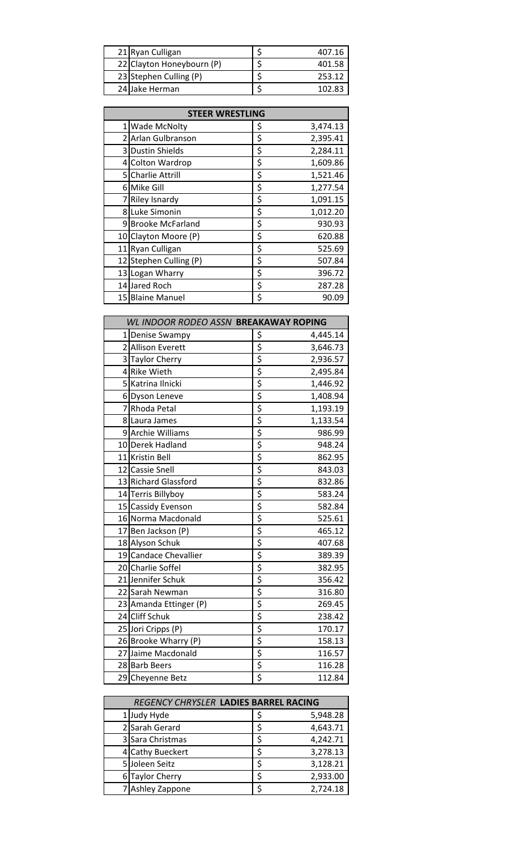| 21 Ryan Culligan          | 407.16 |
|---------------------------|--------|
| 22 Clayton Honeybourn (P) | 401.58 |
| 23 Stephen Culling (P)    | 253.12 |
| 24 Jake Herman            |        |

| <b>STEER WRESTLING</b> |                         |    |          |  |
|------------------------|-------------------------|----|----------|--|
| 1                      | <b>Wade McNolty</b>     | \$ | 3,474.13 |  |
|                        | 2 Arlan Gulbranson      | \$ | 2,395.41 |  |
|                        | 3 Dustin Shields        | \$ | 2,284.11 |  |
|                        | 4 Colton Wardrop        | \$ | 1,609.86 |  |
|                        | 5 Charlie Attrill       | \$ | 1,521.46 |  |
|                        | 6 Mike Gill             | \$ | 1,277.54 |  |
|                        | <b>Riley Isnardy</b>    | \$ | 1,091.15 |  |
|                        | 8 Luke Simonin          | \$ | 1,012.20 |  |
| 9                      | <b>Brooke McFarland</b> | \$ | 930.93   |  |
| 10                     | Clayton Moore (P)       | \$ | 620.88   |  |
|                        | 11 Ryan Culligan        | \$ | 525.69   |  |
|                        | 12 Stephen Culling (P)  | \$ | 507.84   |  |
|                        | 13 Logan Wharry         | \$ | 396.72   |  |
|                        | 14 Jared Roch           | \$ | 287.28   |  |
|                        | 15 Blaine Manuel        | \$ | 90.09    |  |

| WL INDOOR RODEO ASSN BREAKAWAY ROPING |                        |          |
|---------------------------------------|------------------------|----------|
| 1 Denise Swampy                       | \$                     | 4,445.14 |
| 2 Allison Everett                     | \$                     | 3,646.73 |
| 3 Taylor Cherry                       | $\overline{\varsigma}$ | 2,936.57 |
| 4 Rike Wieth                          | \$                     | 2,495.84 |
| 5 Katrina Ilnicki                     | \$                     | 1,446.92 |
| 6Dyson Leneve                         | $\overline{\varsigma}$ | 1,408.94 |
| 7 Rhoda Petal                         | $\overline{\varsigma}$ | 1,193.19 |
| 8 Laura James                         | \$                     | 1,133.54 |
| 9 Archie Williams                     | $\overline{\xi}$       | 986.99   |
| 10 Derek Hadland                      | $\overline{\xi}$       | 948.24   |
| 11 Kristin Bell                       | $\overline{\xi}$       | 862.95   |
| 12 Cassie Snell                       | \$                     | 843.03   |
| 13 Richard Glassford                  | $\overline{\xi}$       | 832.86   |
| 14 Terris Billyboy                    | $rac{5}{5}$            | 583.24   |
| 15 Cassidy Evenson                    |                        | 582.84   |
| 16 Norma Macdonald                    |                        | 525.61   |
| 17 Ben Jackson (P)                    | $\overline{\xi}$       | 465.12   |
| 18 Alyson Schuk                       |                        | 407.68   |
| 19 Candace Chevallier                 |                        | 389.39   |
| 20 Charlie Soffel                     |                        | 382.95   |
| 21 Jennifer Schuk                     | <u>ぞうする すずす すずす</u>    | 356.42   |
| 22 Sarah Newman                       |                        | 316.80   |
| 23 Amanda Ettinger (P)                |                        | 269.45   |
| 24 Cliff Schuk                        |                        | 238.42   |
| 25 Jori Cripps (P)                    |                        | 170.17   |
| 26 Brooke Wharry (P)                  |                        | 158.13   |
| 27 Jaime Macdonald                    |                        | 116.57   |
| 28 Barb Beers                         |                        | 116.28   |
| 29 Cheyenne Betz                      |                        | 112.84   |

| REGENCY CHRYSLER LADIES BARREL RACING |  |          |  |  |  |
|---------------------------------------|--|----------|--|--|--|
| 1 Judy Hyde                           |  | 5,948.28 |  |  |  |
| 2 Sarah Gerard                        |  | 4,643.71 |  |  |  |
| 3 Sara Christmas                      |  | 4,242.71 |  |  |  |
| 4 Cathy Bueckert                      |  | 3,278.13 |  |  |  |
| 5 Joleen Seitz                        |  | 3,128.21 |  |  |  |
| 6 Taylor Cherry                       |  | 2,933.00 |  |  |  |
| 7 Ashley Zappone                      |  | 2,724.18 |  |  |  |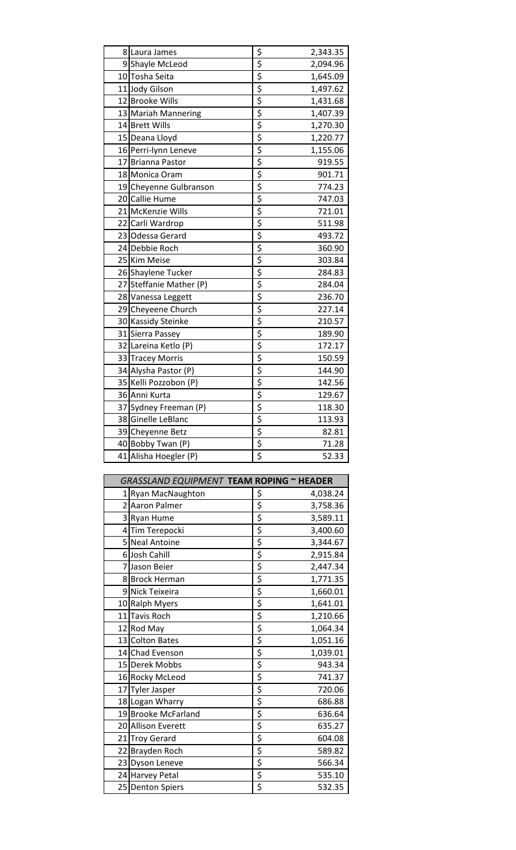| 8 Laura James           |                                     | 2,343.35 |
|-------------------------|-------------------------------------|----------|
| 9 Shayle McLeod         | $rac{5}{5}$                         | 2,094.96 |
| 10 Tosha Seita          |                                     | 1,645.09 |
| 11 Jody Gilson          | \$                                  | 1,497.62 |
| 12 Brooke Wills         | \$                                  | 1,431.68 |
| 13 Mariah Mannering     | \$                                  | 1,407.39 |
| 14 Brett Wills          | $rac{5}{5}$                         | 1,270.30 |
| 15 Deana Lloyd          |                                     | 1,220.77 |
| 16 Perri-lynn Leneve    | \$                                  | 1,155.06 |
| 17 Brianna Pastor       | \$                                  | 919.55   |
| 18 Monica Oram          | $\overline{\xi}$                    | 901.71   |
| 19 Cheyenne Gulbranson  | $\overline{\xi}$                    | 774.23   |
| 20 Callie Hume          | $\overline{\boldsymbol{\xi}}$       | 747.03   |
| 21 McKenzie Wills       | \$                                  | 721.01   |
| 22 Carli Wardrop        | $\overline{\xi}$                    | 511.98   |
| 23 Odessa Gerard        | $\overline{\xi}$                    | 493.72   |
| 24 Debbie Roch          | $rac{5}{5}$                         | 360.90   |
| 25 Kim Meise            |                                     | 303.84   |
| 26 Shaylene Tucker      | \$                                  | 284.83   |
| 27 Steffanie Mather (P) | \$                                  | 284.04   |
| 28 Vanessa Leggett      | \$                                  | 236.70   |
| 29 Cheyeene Church      | $rac{5}{5}$                         | 227.14   |
| 30 Kassidy Steinke      |                                     | 210.57   |
| 31 Sierra Passey        | $\overline{\boldsymbol{\varsigma}}$ | 189.90   |
| 32 Lareina Ketlo (P)    | \$                                  | 172.17   |
| 33 Tracey Morris        | $\overline{\xi}$                    | 150.59   |
| 34 Alysha Pastor (P)    | \$                                  | 144.90   |
| 35 Kelli Pozzobon (P)   | $\overline{\xi}$                    | 142.56   |
| 36 Anni Kurta           | \$                                  | 129.67   |
| 37 Sydney Freeman (P)   | \$                                  | 118.30   |
| 38 Ginelle LeBlanc      | $\overline{\xi}$                    | 113.93   |
| 39 Cheyenne Betz        | $rac{5}{5}$                         | 82.81    |
| 40 Bobby Twan (P)       |                                     | 71.28    |
| 41 Alisha Hoegler (P)   | $\overline{\boldsymbol{\varsigma}}$ | 52.33    |

| GRASSLAND EQUIPMENT TEAM ROPING ~ HEADER |    |          |
|------------------------------------------|----|----------|
| 1 Ryan MacNaughton                       | \$ | 4,038.24 |
| 2 Aaron Palmer                           | \$ | 3,758.36 |
| 3 Ryan Hume                              | \$ | 3,589.11 |
| 4Tim Terepocki                           | \$ | 3,400.60 |
| 5 Neal Antoine                           | \$ | 3,344.67 |
| 6 Josh Cahill                            | \$ | 2,915.84 |
| 7 Jason Beier                            | \$ | 2,447.34 |
| 8 Brock Herman                           | \$ | 1,771.35 |
| 9 Nick Teixeira                          | \$ | 1,660.01 |
| 10 Ralph Myers                           | \$ | 1,641.01 |
| 11 Tavis Roch                            | \$ | 1,210.66 |
| 12 Rod May                               | \$ | 1,064.34 |
| 13 Colton Bates                          | \$ | 1,051.16 |
| 14 Chad Evenson                          | \$ | 1,039.01 |
| 15 Derek Mobbs                           | \$ | 943.34   |
| 16 Rocky McLeod                          | \$ | 741.37   |
| 17 Tyler Jasper                          | \$ | 720.06   |
| 18 Logan Wharry                          | \$ | 686.88   |
| 19 Brooke McFarland                      | \$ | 636.64   |
| 20 Allison Everett                       | \$ | 635.27   |
| 21 Troy Gerard                           | \$ | 604.08   |
| 22 Brayden Roch                          | \$ | 589.82   |
| 23 Dyson Leneve                          | \$ | 566.34   |
| 24 Harvey Petal                          | \$ | 535.10   |
| 25 Denton Spiers                         |    | 532.35   |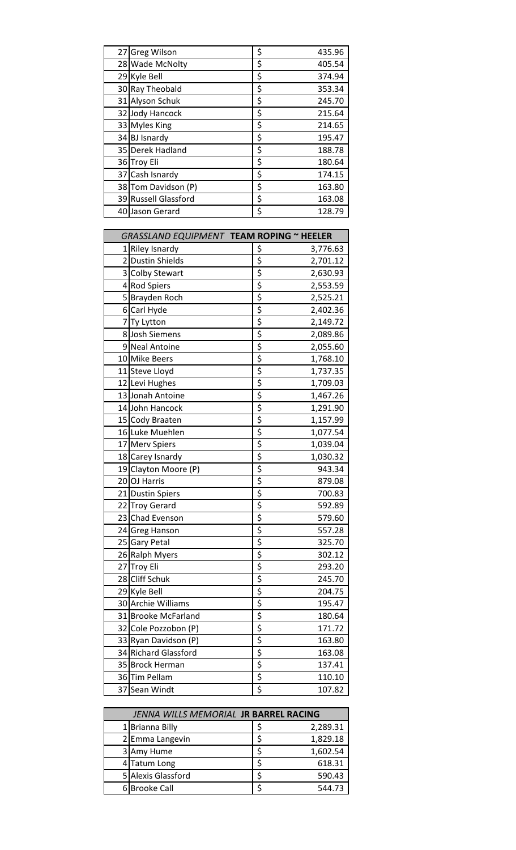| 27 Greg Wilson       | \$<br>435.96 |
|----------------------|--------------|
| 28 Wade McNolty      | \$<br>405.54 |
| 29 Kyle Bell         | \$<br>374.94 |
| 30 Ray Theobald      | \$<br>353.34 |
| 31 Alyson Schuk      | \$<br>245.70 |
| 32 Jody Hancock      | \$<br>215.64 |
| 33 Myles King        | \$<br>214.65 |
| 34 BJ Isnardy        | \$<br>195.47 |
| 35 Derek Hadland     | \$<br>188.78 |
| 36 Troy Eli          | \$<br>180.64 |
| 37 Cash Isnardy      | \$<br>174.15 |
| 38 Tom Davidson (P)  | \$<br>163.80 |
| 39 Russell Glassford | \$<br>163.08 |
| 40 Jason Gerard      | \$<br>128.79 |

| GRASSLAND EQUIPMENT TEAM ROPING ~ HEELER |                      |                                      |          |
|------------------------------------------|----------------------|--------------------------------------|----------|
|                                          | 1 Riley Isnardy      | \$                                   | 3,776.63 |
|                                          | 2 Dustin Shields     | \$                                   | 2,701.12 |
|                                          | 3 Colby Stewart      | \$                                   | 2,630.93 |
|                                          | 4 Rod Spiers         | \$                                   | 2,553.59 |
|                                          | 5 Brayden Roch       | \$                                   | 2,525.21 |
|                                          | 6 Carl Hyde          | $rac{5}{5}$                          | 2,402.36 |
|                                          | 7Ty Lytton           |                                      | 2,149.72 |
|                                          | 8 Josh Siemens       | \$                                   | 2,089.86 |
|                                          | 9 Neal Antoine       | $rac{5}{5}$                          | 2,055.60 |
|                                          | 10 Mike Beers        |                                      | 1,768.10 |
|                                          | 11 Steve Lloyd       |                                      | 1,737.35 |
|                                          | 12 Levi Hughes       | $rac{5}{5}$                          | 1,709.03 |
|                                          | 13 Jonah Antoine     |                                      | 1,467.26 |
|                                          | 14 John Hancock      | $\overline{\xi}$                     | 1,291.90 |
|                                          | 15 Cody Braaten      | \$                                   | 1,157.99 |
|                                          | 16 Luke Muehlen      | \$                                   | 1,077.54 |
|                                          | 17 Merv Spiers       | $\overline{\overline{\overline{z}}}$ | 1,039.04 |
|                                          | 18 Carey Isnardy     |                                      | 1,030.32 |
|                                          | 19 Clayton Moore (P) | $rac{5}{5}$                          | 943.34   |
|                                          | 20 OJ Harris         |                                      | 879.08   |
|                                          | 21 Dustin Spiers     | \$                                   | 700.83   |
|                                          | 22 Troy Gerard       | $\overline{\xi}$                     | 592.89   |
|                                          | 23 Chad Evenson      | $\overline{\xi}$                     | 579.60   |
|                                          | 24 Greg Hanson       | $rac{5}{5}$                          | 557.28   |
|                                          | 25 Gary Petal        |                                      | 325.70   |
|                                          | 26 Ralph Myers       | $\overline{\xi}$                     | 302.12   |
|                                          | 27 Troy Eli          | $\overline{\boldsymbol{\xi}}$        | 293.20   |
|                                          | 28 Cliff Schuk       | $\overline{\xi}$                     | 245.70   |
|                                          | 29 Kyle Bell         | $rac{5}{5}$                          | 204.75   |
|                                          | 30 Archie Williams   |                                      | 195.47   |
|                                          | 31 Brooke McFarland  |                                      | 180.64   |
|                                          | 32 Cole Pozzobon (P) | $rac{5}{5}$                          | 171.72   |
|                                          | 33 Ryan Davidson (P) | $\overline{\xi}$                     | 163.80   |
|                                          | 34 Richard Glassford | $\overline{\xi}$                     | 163.08   |
|                                          | 35 Brock Herman      | $\frac{1}{5}$                        | 137.41   |
|                                          | 36 Tim Pellam        | $\frac{1}{5}$                        | 110.10   |
|                                          | 37 Sean Windt        | \$                                   | 107.82   |

| JENNA WILLS MEMORIAL JR BARREL RACING |                    |  |          |
|---------------------------------------|--------------------|--|----------|
|                                       | 1 Brianna Billy    |  | 2,289.31 |
|                                       | 2 Emma Langevin    |  | 1,829.18 |
|                                       | 3 Amy Hume         |  | 1,602.54 |
|                                       | 4 Tatum Long       |  | 618.31   |
|                                       | 5 Alexis Glassford |  | 590.43   |
|                                       | 6 Brooke Call      |  | 544.73   |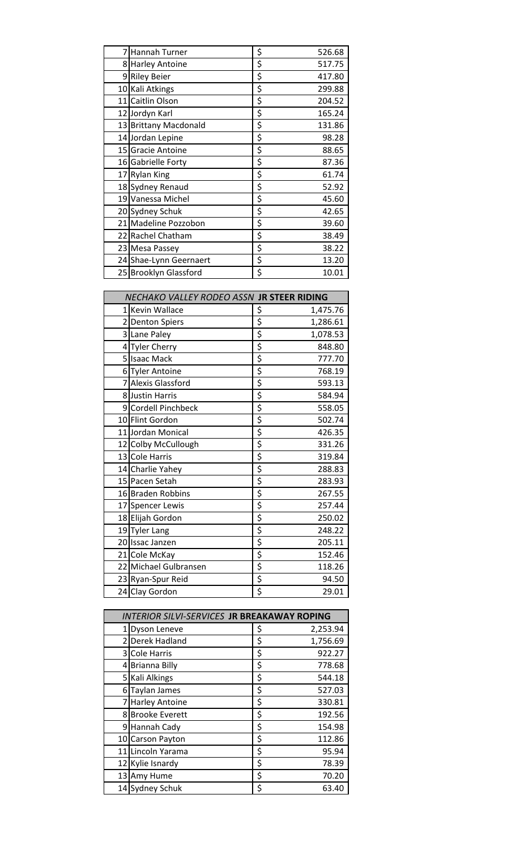|    | Hannah Turner          | \$<br>526.68 |
|----|------------------------|--------------|
|    | 8 Harley Antoine       | \$<br>517.75 |
|    | 9 Riley Beier          | \$<br>417.80 |
|    | 10 Kali Atkings        | \$<br>299.88 |
|    | 11 Caitlin Olson       | \$<br>204.52 |
|    | 12 Jordyn Karl         | \$<br>165.24 |
|    | 13 Brittany Macdonald  | \$<br>131.86 |
|    | 14 Jordan Lepine       | \$<br>98.28  |
|    | 15 Gracie Antoine      | \$<br>88.65  |
|    | 16 Gabrielle Forty     | \$<br>87.36  |
|    | 17 Rylan King          | \$<br>61.74  |
|    | 18 Sydney Renaud       | \$<br>52.92  |
|    | 19 Vanessa Michel      | \$<br>45.60  |
|    | 20 Sydney Schuk        | \$<br>42.65  |
|    | 21 Madeline Pozzobon   | \$<br>39.60  |
| 22 | Rachel Chatham         | \$<br>38.49  |
|    | 23 Mesa Passey         | \$<br>38.22  |
|    | 24 Shae-Lynn Geernaert | \$<br>13.20  |
|    | 25 Brooklyn Glassford  | \$<br>10.01  |

| NECHAKO VALLEY RODEO ASSN JR STEER RIDING |                                   |  |
|-------------------------------------------|-----------------------------------|--|
| 1 Kevin Wallace                           | \$<br>1,475.76                    |  |
| 2 Denton Spiers                           | \$<br>1,286.61                    |  |
| 3 Lane Paley                              | \$<br>1,078.53                    |  |
| 4 Tyler Cherry                            | \$<br>848.80                      |  |
| 5 Isaac Mack                              | $\overline{\xi}$<br>777.70        |  |
| 6 Tyler Antoine                           | \$<br>768.19                      |  |
| 7 Alexis Glassford                        | $\overline{\mathbf{z}}$<br>593.13 |  |
| 8 Justin Harris                           | \$<br>584.94                      |  |
| 9 Cordell Pinchbeck                       | \$<br>558.05                      |  |
| 10 Flint Gordon                           | \$<br>502.74                      |  |
| 11 Jordan Monical                         | \$<br>426.35                      |  |
| 12 Colby McCullough                       | \$<br>331.26                      |  |
| 13 Cole Harris                            | \$<br>319.84                      |  |
| 14 Charlie Yahey                          | \$<br>288.83                      |  |
| 15 Pacen Setah                            | \$<br>283.93                      |  |
| 16 Braden Robbins                         | \$<br>267.55                      |  |
| 17 Spencer Lewis                          | \$<br>257.44                      |  |
| 18 Elijah Gordon                          | \$<br>250.02                      |  |
| 19 Tyler Lang                             | \$<br>248.22                      |  |
| 20 Issac Janzen                           | \$<br>205.11                      |  |
| 21 Cole McKay                             | \$<br>152.46                      |  |
| 22 Michael Gulbransen                     | \$<br>118.26                      |  |
| 23 Ryan-Spur Reid                         | \$<br>94.50                       |  |
| 24 Clay Gordon                            | \$<br>29.01                       |  |

| <b>INTERIOR SILVI-SERVICES JR BREAKAWAY ROPING</b> |    |          |  |
|----------------------------------------------------|----|----------|--|
| 1 Dyson Leneve                                     | \$ | 2,253.94 |  |
| 2 Derek Hadland                                    | \$ | 1,756.69 |  |
| 3 Cole Harris                                      | \$ | 922.27   |  |
| 4 Brianna Billy                                    | \$ | 778.68   |  |
| 5 Kali Alkings                                     | \$ | 544.18   |  |
| 6 Taylan James                                     | \$ | 527.03   |  |
| 7 Harley Antoine                                   | \$ | 330.81   |  |
| 8 Brooke Everett                                   | \$ | 192.56   |  |
| 9 Hannah Cady                                      | \$ | 154.98   |  |
| 10 Carson Payton                                   | \$ | 112.86   |  |
| 11 Lincoln Yarama                                  | \$ | 95.94    |  |
| 12 Kylie Isnardy                                   | \$ | 78.39    |  |
| 13 Amy Hume                                        | \$ | 70.20    |  |
| 14 Sydney Schuk                                    | \$ | 63.40    |  |